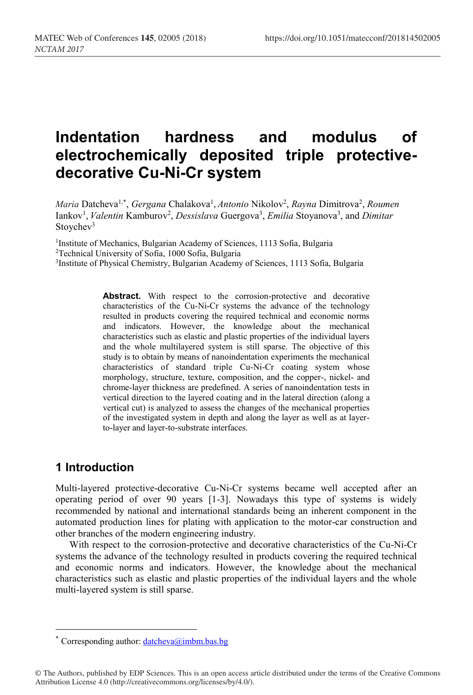# **Indentation hardness and modulus of electrochemically deposited triple protectivedecorative Cu-Ni-Cr system**

*Maria* Datcheva<sup>1,\*</sup>, *Gergana* Chalakova<sup>1</sup>, *Antonio* Nikolov<sup>2</sup>, *Rayna* Dimitrova<sup>2</sup>, *Roumen* Iankov<sup>1</sup>, *Valentin* Kamburov<sup>2</sup>, Dessislava Guergova<sup>3</sup>, Emilia Stoyanova<sup>3</sup>, and Dimitar Stoychev<sup>3</sup>

<sup>1</sup>Institute of Mechanics, Bulgarian Academy of Sciences, 1113 Sofia, Bulgaria 2Technical University of Sofia, 1000 Sofia, Bulgaria 3Institute of Physical Chemistry, Bulgarian Academy of Sciences, 1113 Sofia, Bulgaria

> Abstract. With respect to the corrosion-protective and decorative characteristics of the Cu-Ni-Cr systems the advance of the technology resulted in products covering the required technical and economic norms and indicators. However, the knowledge about the mechanical characteristics such as elastic and plastic properties of the individual layers and the whole multilayered system is still sparse. The objective of this study is to obtain by means of nanoindentation experiments the mechanical characteristics of standard triple Cu-Ni-Cr coating system whose morphology, structure, texture, composition, and the copper-, nickel- and chrome-layer thickness are predefined. A series of nanoindentation tests in vertical direction to the layered coating and in the lateral direction (along a vertical cut) is analyzed to assess the changes of the mechanical properties of the investigated system in depth and along the layer as well as at layerto-layer and layer-to-substrate interfaces.

# **1 Introduction**

Multi-layered protective-decorative Cu-Ni-Cr systems became well accepted after an operating period of over 90 years [1-3]. Nowadays this type of systems is widely recommended by national and international standards being an inherent component in the automated production lines for plating with application to the motor-car construction and other branches of the modern engineering industry.

With respect to the corrosion-protective and decorative characteristics of the Cu-Ni-Cr systems the advance of the technology resulted in products covering the required technical and economic norms and indicators. However, the knowledge about the mechanical characteristics such as elastic and plastic properties of the individual layers and the whole multi-layered system is still sparse.

<sup>\*</sup> Corresponding author:  $\frac{dateheva}{a}$ imbm.bas.bg

<sup>©</sup> The Authors, published by EDP Sciences. This is an open access article distributed under the terms of the Creative Commons Attribution License 4.0 (http://creativecommons.org/licenses/by/4.0/).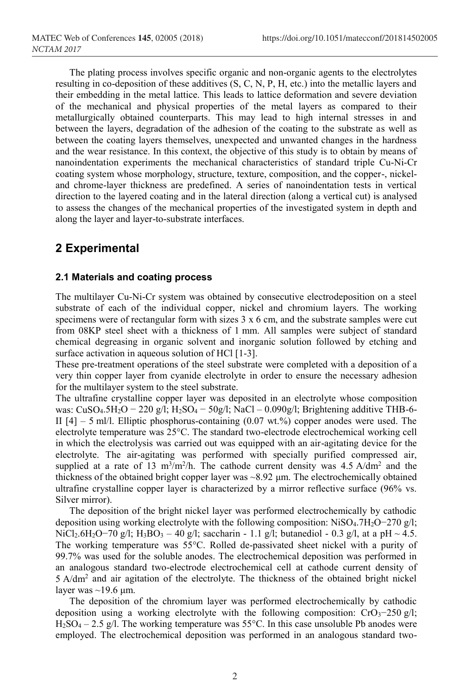The plating process involves specific organic and non-organic agents to the electrolytes resulting in co-deposition of these additives (S, C, N, P, H, etc.) into the metallic layers and their embedding in the metal lattice. This leads to lattice deformation and severe deviation of the mechanical and physical properties of the metal layers as compared to their metallurgically obtained counterparts. This may lead to high internal stresses in and between the layers, degradation of the adhesion of the coating to the substrate as well as between the coating layers themselves, unexpected and unwanted changes in the hardness and the wear resistance. In this context, the objective of this study is to obtain by means of nanoindentation experiments the mechanical characteristics of standard triple Cu-Ni-Cr coating system whose morphology, structure, texture, composition, and the copper-, nickeland chrome-layer thickness are predefined. A series of nanoindentation tests in vertical direction to the layered coating and in the lateral direction (along a vertical cut) is analysed to assess the changes of the mechanical properties of the investigated system in depth and along the layer and layer-to-substrate interfaces.

## **2 Experimental**

#### **2.1 Materials and coating process**

The multilayer Cu-Ni-Cr system was obtained by consecutive electrodeposition on a steel substrate of each of the individual copper, nickel and chromium layers. The working specimens were of rectangular form with sizes 3 x 6 cm, and the substrate samples were cut from 08KP steel sheet with a thickness of 1 mm. All samples were subject of standard chemical degreasing in organic solvent and inorganic solution followed by etching and surface activation in aqueous solution of HCl [1-3].

These pre-treatment operations of the steel substrate were completed with a deposition of a very thin copper layer from cyanide electrolyte in order to ensure the necessary adhesion for the multilayer system to the steel substrate.

The ultrafine crystalline copper layer was deposited in an electrolyte whose composition was: CuSO<sub>4</sub>.5H<sub>2</sub>O – 220 g/l; H<sub>2</sub>SO<sub>4</sub> – 50g/l; NaCl – 0.090g/l; Brightening additive THB-6-II [4] – 5 ml/l. Elliptic phosphorus-containing (0.07 wt.%) copper anodes were used. The electrolyte temperature was 25°C. The standard two-electrode electrochemical working cell in which the electrolysis was carried out was equipped with an air-agitating device for the electrolyte. The air-agitating was performed with specially purified compressed air, supplied at a rate of 13 m<sup>3</sup>/m<sup>2</sup>/h. The cathode current density was  $4.5 \text{ A/dm}^2$  and the thickness of the obtained bright copper layer was ~8.92 μm. The electrochemically obtained ultrafine crystalline copper layer is characterized by a mirror reflective surface (96% vs. Silver mirror).

The deposition of the bright nickel layer was performed electrochemically by cathodic deposition using working electrolyte with the following composition: NiSO<sub>4</sub>.7H<sub>2</sub>O−270 g/l; NiCl<sub>2</sub>.6H<sub>2</sub>O−70 g/l; H<sub>3</sub>BO<sub>3</sub> – 40 g/l; saccharin - 1.1 g/l; butanediol - 0.3 g/l, at a pH ~ 4.5. The working temperature was 55°C. Rolled de-passivated sheet nickel with a purity of 99.7% was used for the soluble anodes. The electrochemical deposition was performed in an analogous standard two-electrode electrochemical cell at cathode current density of 5 A/dm2 and air agitation of the electrolyte. The thickness of the obtained bright nickel layer was  $\sim$ 19.6  $\mu$ m.

The deposition of the chromium layer was performed electrochemically by cathodic deposition using a working electrolyte with the following composition:  $CrO<sub>3</sub>$  -250 g/l;  $H_2SO_4 - 2.5$  g/l. The working temperature was 55°C. In this case unsoluble Pb anodes were employed. The electrochemical deposition was performed in an analogous standard two-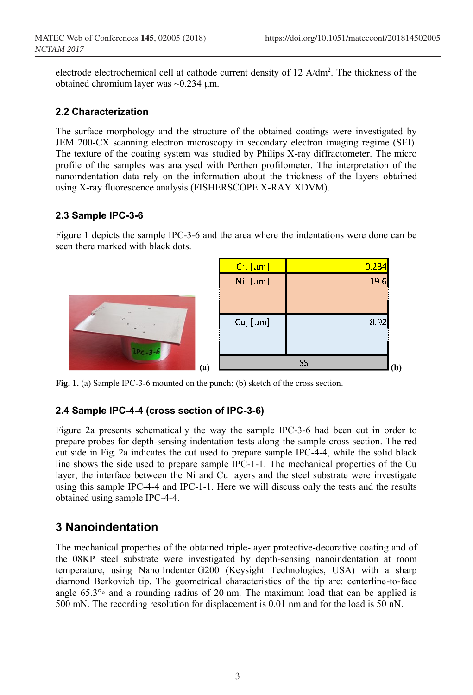electrode electrochemical cell at cathode current density of 12 A/dm<sup>2</sup>. The thickness of the obtained chromium layer was ~0.234 μm.

#### **2.2 Characterization**

The surface morphology and the structure of the obtained coatings were investigated by JEM 200-CX scanning electron microscopy in secondary electron imaging regime (SEI). The texture of the coating system was studied by Philips X-ray diffractometer. The micro profile of the samples was analysed with Perthen profilometer. The interpretation of the nanoindentation data rely on the information about the thickness of the layers obtained using X-ray fluorescence analysis (FISHERSCOPE X-RAY XDVM).

## **2.3 Sample IPC-3-6**

Figure 1 depicts the sample IPC-3-6 and the area where the indentations were done can be seen there marked with black dots.



|     | Cr, [µm] | 0.234 |                            |
|-----|----------|-------|----------------------------|
|     | Ni, [µm] | 19.6  |                            |
|     |          |       |                            |
|     |          | 8.92  |                            |
|     | Cu, [µm] |       |                            |
|     |          |       |                            |
| (a) |          | SS    | $\left( \mathbf{b}\right)$ |

Fig. 1. (a) Sample IPC-3-6 mounted on the punch; (b) sketch of the cross section.

## **2.4 Sample IPC-4-4 (cross section of IPC-3-6)**

Figure 2a presents schematically the way the sample IPC-3-6 had been cut in order to prepare probes for depth-sensing indentation tests along the sample cross section. The red cut side in Fig. 2a indicates the cut used to prepare sample IPC-4-4, while the solid black line shows the side used to prepare sample IPC-1-1. The mechanical properties of the Cu layer, the interface between the Ni and Cu layers and the steel substrate were investigate using this sample IPC-4-4 and IPC-1-1. Here we will discuss only the tests and the results obtained using sample IPC-4-4.

## **3 Nanoindentation**

The mechanical properties of the obtained triple-layer protective-decorative coating and of the 08KP steel substrate were investigated by depth-sensing nanoindentation at room temperature, using Nano Indenter G200 (Keysight Technologies, USA) with a sharp diamond Berkovich tip. The geometrical characteristics of the tip are: centerline-to-face angle 65.3°◦ and a rounding radius of 20 nm. The maximum load that can be applied is 500 mN. The recording resolution for displacement is 0.01 nm and for the load is 50 nN.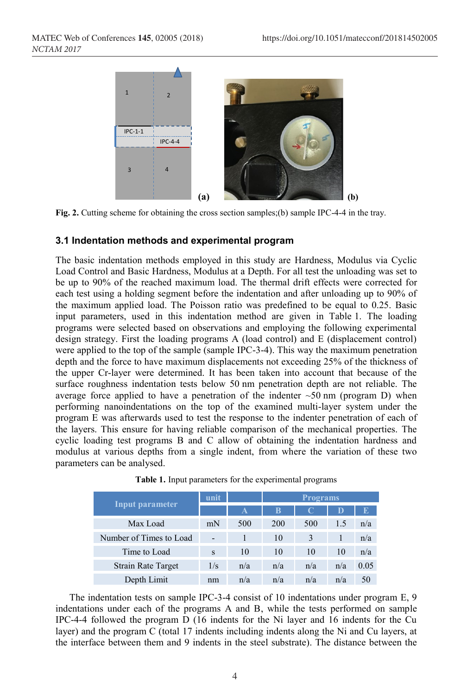

**Fig. 2.** Cutting scheme for obtaining the cross section samples;(b) sample IPC-4-4 in the tray.

#### **3.1 Indentation methods and experimental program**

The basic indentation methods employed in this study are Hardness, Modulus via Cyclic Load Control and Basic Hardness, Modulus at a Depth. For all test the unloading was set to be up to 90% of the reached maximum load. The thermal drift effects were corrected for each test using a holding segment before the indentation and after unloading up to 90% of the maximum applied load. The Poisson ratio was predefined to be equal to 0.25. Basic input parameters, used in this indentation method are given in Table 1. The loading programs were selected based on observations and employing the following experimental design strategy. First the loading programs A (load control) and E (displacement control) were applied to the top of the sample (sample IPC-3-4). This way the maximum penetration depth and the force to have maximum displacements not exceeding 25% of the thickness of the upper Cr-layer were determined. It has been taken into account that because of the surface roughness indentation tests below 50 nm penetration depth are not reliable. The average force applied to have a penetration of the indenter  $~50 \text{ nm}$  (program D) when performing nanoindentations on the top of the examined multi-layer system under the program E was afterwards used to test the response to the indenter penetration of each of the layers. This ensure for having reliable comparison of the mechanical properties. The cyclic loading test programs B and C allow of obtaining the indentation hardness and modulus at various depths from a single indent, from where the variation of these two parameters can be analysed.

|                           | unit |     | <b>Programs</b> |     |     |      |
|---------------------------|------|-----|-----------------|-----|-----|------|
| Input parameter           |      | A   | B               |     | I)  |      |
| Max Load                  | mN   | 500 | 200             | 500 | 1.5 | n/a  |
| Number of Times to Load   |      |     | 10              | 3   |     | n/a  |
| Time to Load              | S    | 10  | 10              | 10  | 10  | n/a  |
| <b>Strain Rate Target</b> | 1/s  | n/a | n/a             | n/a | n/a | 0.05 |
| Depth Limit               | nm   | n/a | n/a             | n/a | n/a | 50   |

**Table 1.** Input parameters for the experimental programs

The indentation tests on sample IPC-3-4 consist of 10 indentations under program E, 9 indentations under each of the programs A and B, while the tests performed on sample IPC-4-4 followed the program D (16 indents for the Ni layer and 16 indents for the Cu layer) and the program C (total 17 indents including indents along the Ni and Cu layers, at the interface between them and 9 indents in the steel substrate). The distance between the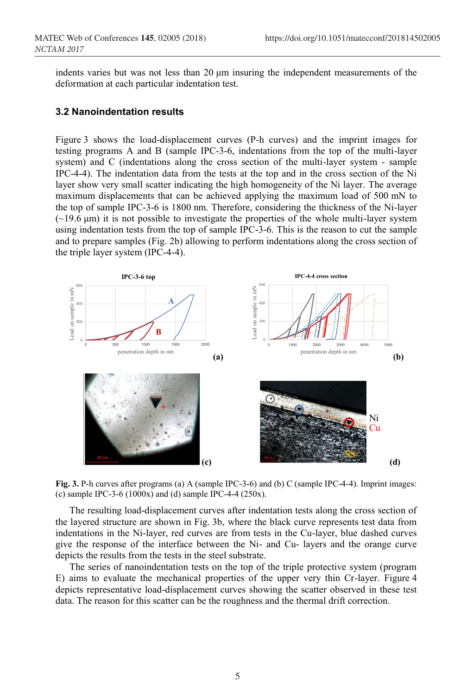indents varies but was not less than 20 μm insuring the independent measurements of the deformation at each particular indentation test.

#### **3.2 Nanoindentation results**

Figure 3 shows the load-displacement curves (P-h curves) and the imprint images for testing programs A and B (sample IPC-3-6, indentations from the top of the multi-layer system) and C (indentations along the cross section of the multi-layer system - sample IPC-4-4). The indentation data from the tests at the top and in the cross section of the Ni layer show very small scatter indicating the high homogeneity of the Ni layer. The average maximum displacements that can be achieved applying the maximum load of 500 mN to the top of sample IPC-3-6 is 1800 nm. Therefore, considering the thickness of the Ni-layer  $(-19.6 \,\mu m)$  it is not possible to investigate the properties of the whole multi-layer system using indentation tests from the top of sample IPC-3-6. This is the reason to cut the sample and to prepare samples (Fig. 2b) allowing to perform indentations along the cross section of the triple layer system (IPC-4-4).



**Fig. 3.** P-h curves after programs (a) A (sample IPC-3-6) and (b) C (sample IPC-4-4). Imprint images: (c) sample IPC-3-6 (1000x) and (d) sample IPC-4-4 (250x).

The resulting load-displacement curves after indentation tests along the cross section of the layered structure are shown in Fig. 3b, where the black curve represents test data from indentations in the Ni-layer, red curves are from tests in the Cu-layer, blue dashed curves give the response of the interface between the Ni- and Cu- layers and the orange curve depicts the results from the tests in the steel substrate.

The series of nanoindentation tests on the top of the triple protective system (program E) aims to evaluate the mechanical properties of the upper very thin Cr-layer. Figure 4 depicts representative load-displacement curves showing the scatter observed in these test data. The reason for this scatter can be the roughness and the thermal drift correction.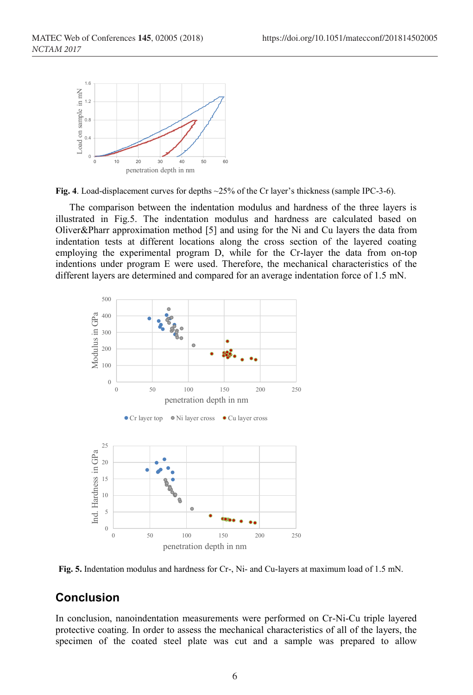

**Fig. 4**. Load-displacement curves for depths ~25% of the Cr layer's thickness (sample IPC-3-6).

The comparison between the indentation modulus and hardness of the three layers is illustrated in Fig.5. The indentation modulus and hardness are calculated based on Oliver&Pharr approximation method [5] and using for the Ni and Cu layers the data from indentation tests at different locations along the cross section of the layered coating employing the experimental program D, while for the Cr-layer the data from on-top indentions under program E were used. Therefore, the mechanical characteristics of the different layers are determined and compared for an average indentation force of 1.5 mN.



Fig. 5. Indentation modulus and hardness for Cr-, Ni- and Cu-layers at maximum load of 1.5 mN.

## **Conclusion**

In conclusion, nanoindentation measurements were performed on Cr-Ni-Cu triple layered protective coating. In order to assess the mechanical characteristics of all of the layers, the specimen of the coated steel plate was cut and a sample was prepared to allow